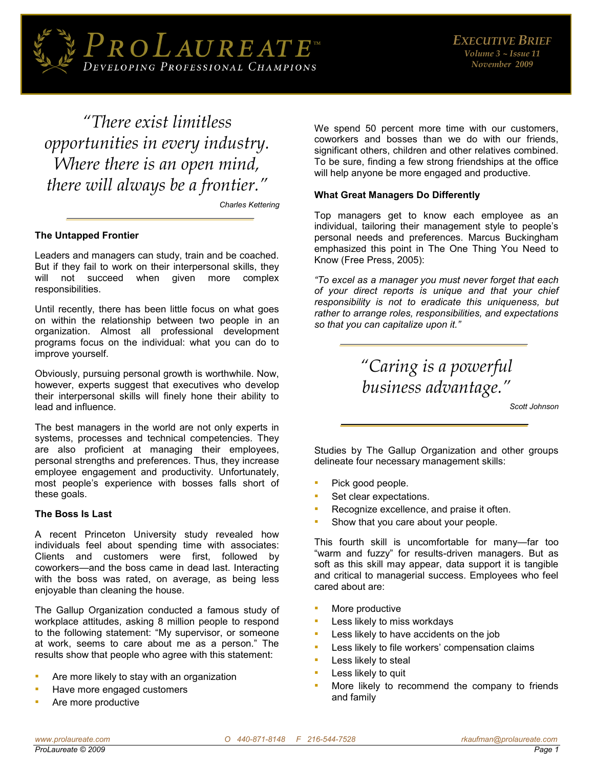

*"There exist limitless opportunities in every industry. Where there is an open mind, there will always be a frontier."*

*[Charles Kettering](http://www.brainyquote.com/quotes/quotes/c/charlesket181213.html)*

# **The Untapped Frontier**

Leaders and managers can study, train and be coached. But if they fail to work on their interpersonal skills, they will not succeed when given more complex responsibilities.

Until recently, there has been little focus on what goes on within the relationship between two people in an organization. Almost all professional development programs focus on the individual: what you can do to improve yourself.

Obviously, pursuing personal growth is worthwhile. Now, however, experts suggest that executives who develop their interpersonal skills will finely hone their ability to lead and influence.

The best managers in the world are not only experts in systems, processes and technical competencies. They are also proficient at managing their employees, personal strengths and preferences. Thus, they increase employee engagement and productivity. Unfortunately, most people's experience with bosses falls short of these goals.

### **The Boss Is Last**

A recent Princeton University study revealed how individuals feel about spending time with associates: Clients and customers were first, followed by coworkers—and the boss came in dead last. Interacting with the boss was rated, on average, as being less enjoyable than cleaning the house.

The Gallup Organization conducted a famous study of workplace attitudes, asking 8 million people to respond to the following statement: "My supervisor, or someone at work, seems to care about me as a person." The results show that people who agree with this statement:

- Are more likely to stay with an organization
- Have more engaged customers
- Are more productive

We spend 50 percent more time with our customers, coworkers and bosses than we do with our friends, significant others, children and other relatives combined. To be sure, finding a few strong friendships at the office will help anyone be more engaged and productive.

# **What Great Managers Do Differently**

Top managers get to know each employee as an individual, tailoring their management style to people's personal needs and preferences. Marcus Buckingham emphasized this point in The One Thing You Need to Know (Free Press, 2005):

*"To excel as a manager you must never forget that each of your direct reports is unique and that your chief responsibility is not to eradicate this uniqueness, but rather to arrange roles, responsibilities, and expectations so that you can capitalize upon it."* 

> *"Caring is a powerful business advantage."*

> > *Scott Johnson*

Studies by The Gallup Organization and other groups delineate four necessary management skills:

- Pick good people.
- Set clear expectations.
- Recognize excellence, and praise it often.
- Show that you care about your people.

This fourth skill is uncomfortable for many—far too "warm and fuzzy" for results-driven managers. But as soft as this skill may appear, data support it is tangible and critical to managerial success. Employees who feel cared about are:

- More productive
- Less likely to miss workdays
- Less likely to have accidents on the job
- Less likely to file workers' compensation claims
- Less likely to steal
- Less likely to quit
- More likely to recommend the company to friends and family